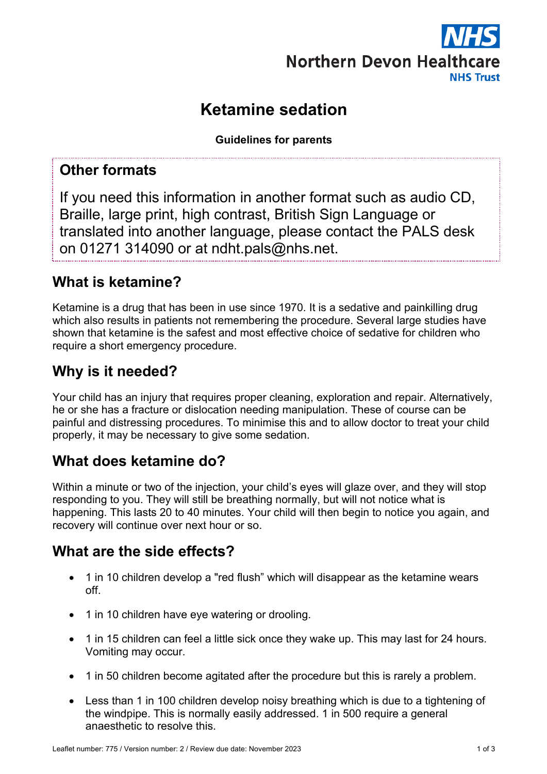

# **Ketamine sedation**

**Guidelines for parents**

#### **Other formats**

If you need this information in another format such as audio CD, Braille, large print, high contrast, British Sign Language or translated into another language, please contact the PALS desk on 01271 314090 or at ndht.pals@nhs.net.

### **What is ketamine?**

Ketamine is a drug that has been in use since 1970. It is a sedative and painkilling drug which also results in patients not remembering the procedure. Several large studies have shown that ketamine is the safest and most effective choice of sedative for children who require a short emergency procedure.

## **Why is it needed?**

Your child has an injury that requires proper cleaning, exploration and repair. Alternatively, he or she has a fracture or dislocation needing manipulation. These of course can be painful and distressing procedures. To minimise this and to allow doctor to treat your child properly, it may be necessary to give some sedation.

### **What does ketamine do?**

Within a minute or two of the injection, your child's eyes will glaze over, and they will stop responding to you. They will still be breathing normally, but will not notice what is happening. This lasts 20 to 40 minutes. Your child will then begin to notice you again, and recovery will continue over next hour or so.

#### **What are the side effects?**

- 1 in 10 children develop a "red flush" which will disappear as the ketamine wears off.
- 1 in 10 children have eye watering or drooling.
- 1 in 15 children can feel a little sick once they wake up. This may last for 24 hours. Vomiting may occur.
- 1 in 50 children become agitated after the procedure but this is rarely a problem.
- Less than 1 in 100 children develop noisy breathing which is due to a tightening of the windpipe. This is normally easily addressed. 1 in 500 require a general anaesthetic to resolve this.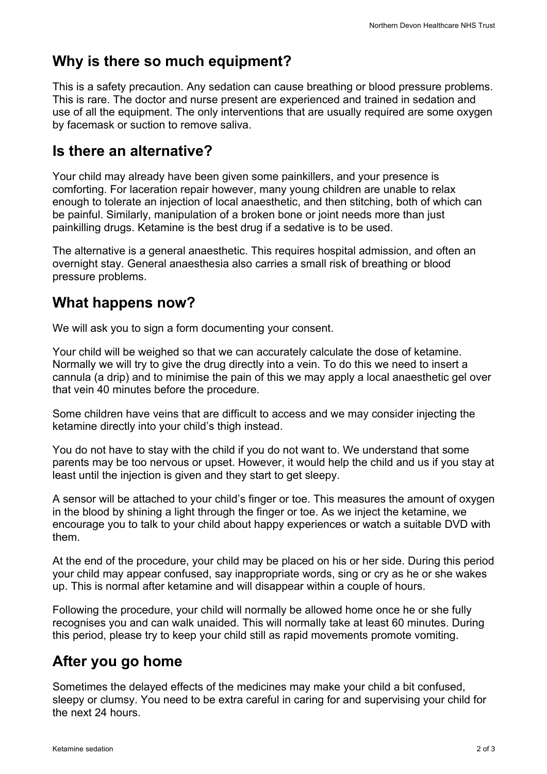# **Why is there so much equipment?**

This is a safety precaution. Any sedation can cause breathing or blood pressure problems. This is rare. The doctor and nurse present are experienced and trained in sedation and use of all the equipment. The only interventions that are usually required are some oxygen by facemask or suction to remove saliva.

#### **Is there an alternative?**

Your child may already have been given some painkillers, and your presence is comforting. For laceration repair however, many young children are unable to relax enough to tolerate an injection of local anaesthetic, and then stitching, both of which can be painful. Similarly, manipulation of a broken bone or joint needs more than just painkilling drugs. Ketamine is the best drug if a sedative is to be used.

The alternative is a general anaesthetic. This requires hospital admission, and often an overnight stay. General anaesthesia also carries a small risk of breathing or blood pressure problems.

### **What happens now?**

We will ask you to sign a form documenting your consent.

Your child will be weighed so that we can accurately calculate the dose of ketamine. Normally we will try to give the drug directly into a vein. To do this we need to insert a cannula (a drip) and to minimise the pain of this we may apply a local anaesthetic gel over that vein 40 minutes before the procedure.

Some children have veins that are difficult to access and we may consider injecting the ketamine directly into your child's thigh instead.

You do not have to stay with the child if you do not want to. We understand that some parents may be too nervous or upset. However, it would help the child and us if you stay at least until the injection is given and they start to get sleepy.

A sensor will be attached to your child's finger or toe. This measures the amount of oxygen in the blood by shining a light through the finger or toe. As we inject the ketamine, we encourage you to talk to your child about happy experiences or watch a suitable DVD with them.

At the end of the procedure, your child may be placed on his or her side. During this period your child may appear confused, say inappropriate words, sing or cry as he or she wakes up. This is normal after ketamine and will disappear within a couple of hours.

Following the procedure, your child will normally be allowed home once he or she fully recognises you and can walk unaided. This will normally take at least 60 minutes. During this period, please try to keep your child still as rapid movements promote vomiting.

### **After you go home**

Sometimes the delayed effects of the medicines may make your child a bit confused, sleepy or clumsy. You need to be extra careful in caring for and supervising your child for the next 24 hours.